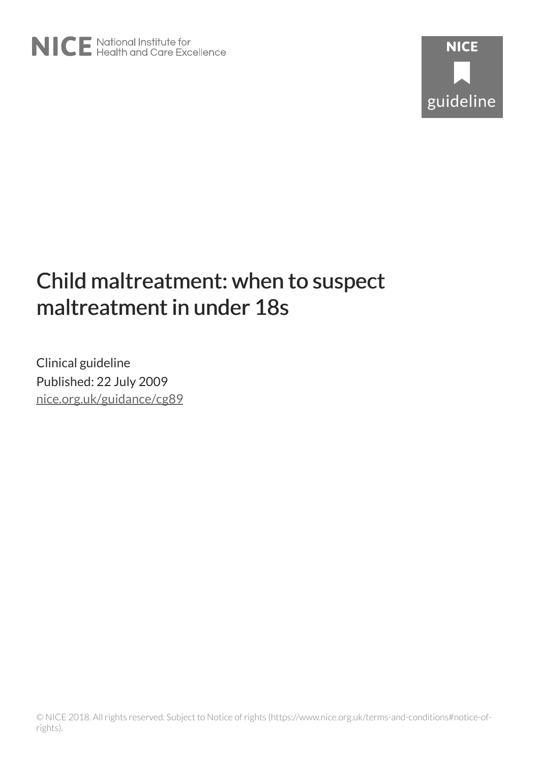# Child maltreatment: when to suspect maltreatment in under 18s

Clinical guideline Published: 22 July 2009 [nice.org.uk/guidance/cg89](http://nice.org.uk/guidance/cg89)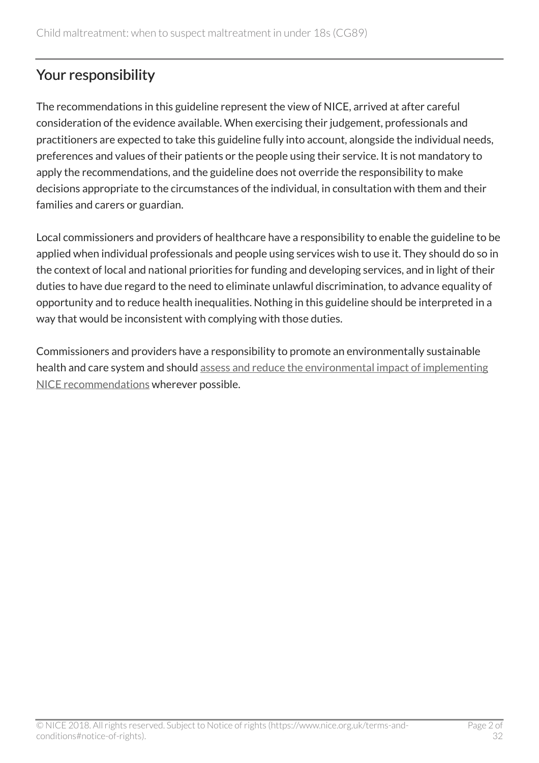# Your responsibility

The recommendations in this guideline represent the view of NICE, arrived at after careful consideration of the evidence available. When exercising their judgement, professionals and practitioners are expected to take this guideline fully into account, alongside the individual needs, preferences and values of their patients or the people using their service. It is not mandatory to apply the recommendations, and the guideline does not override the responsibility to make decisions appropriate to the circumstances of the individual, in consultation with them and their families and carers or guardian.

Local commissioners and providers of healthcare have a responsibility to enable the guideline to be applied when individual professionals and people using services wish to use it. They should do so in the context of local and national priorities for funding and developing services, and in light of their duties to have due regard to the need to eliminate unlawful discrimination, to advance equality of opportunity and to reduce health inequalities. Nothing in this guideline should be interpreted in a way that would be inconsistent with complying with those duties.

Commissioners and providers have a responsibility to promote an environmentally sustainable health and care system and should [assess and reduce the environmental impact of implementing](https://www.nice.org.uk/about/who-we-are/sustainability) [NICE recommendations](https://www.nice.org.uk/about/who-we-are/sustainability) wherever possible.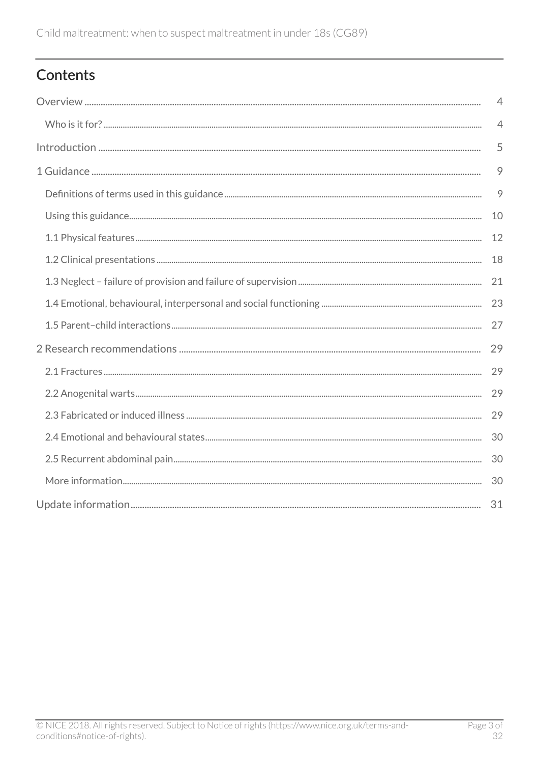# Contents

| $\overline{4}$ |
|----------------|
| $\overline{4}$ |
| 5              |
| 9              |
| 9              |
| 10             |
| 12             |
| 18             |
| 21             |
| 23             |
| 27             |
| 29             |
| 29             |
| 29             |
| 29             |
| 30             |
| 30             |
| 30             |
| 31             |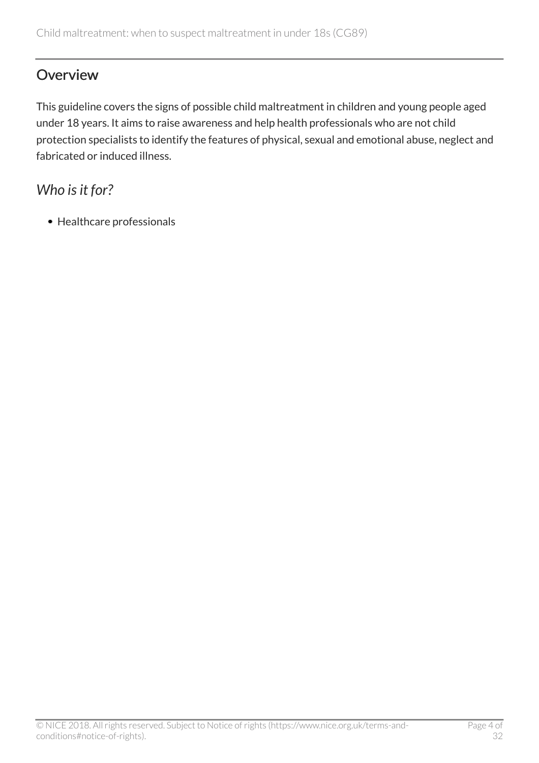# <span id="page-3-0"></span>**Overview**

This guideline covers the signs of possible child maltreatment in children and young people aged under 18 years. It aims to raise awareness and help health professionals who are not child protection specialists to identify the features of physical, sexual and emotional abuse, neglect and fabricated or induced illness.

# <span id="page-3-1"></span>*Who is it for?*

• Healthcare professionals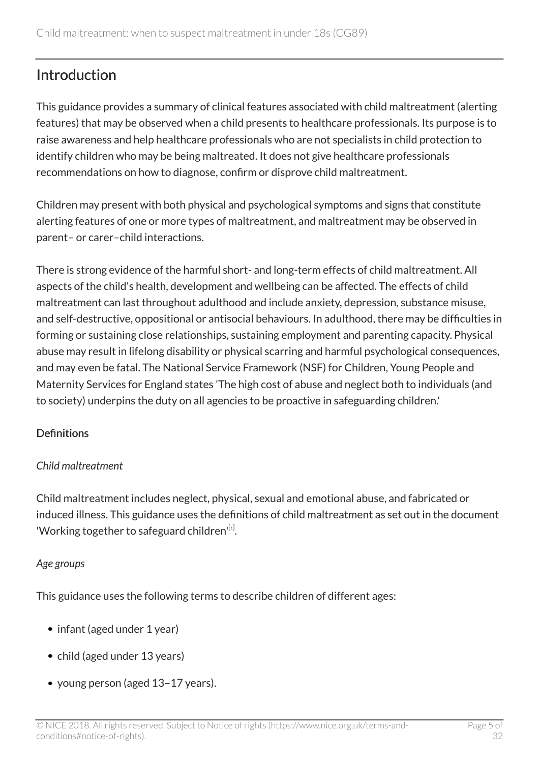# <span id="page-4-0"></span>Introduction

This guidance provides a summary of clinical features associated with child maltreatment (alerting features) that may be observed when a child presents to healthcare professionals. Its purpose is to raise awareness and help healthcare professionals who are not specialists in child protection to identify children who may be being maltreated. It does not give healthcare professionals recommendations on how to diagnose, confirm or disprove child maltreatment.

Children may present with both physical and psychological symptoms and signs that constitute alerting features of one or more types of maltreatment, and maltreatment may be observed in parent– or carer–child interactions.

There is strong evidence of the harmful short- and long-term effects of child maltreatment. All aspects of the child's health, development and wellbeing can be affected. The effects of child maltreatment can last throughout adulthood and include anxiety, depression, substance misuse, and self-destructive, oppositional or antisocial behaviours. In adulthood, there may be difficulties in forming or sustaining close relationships, sustaining employment and parenting capacity. Physical abuse may result in lifelong disability or physical scarring and harmful psychological consequences, and may even be fatal. The National Service Framework (NSF) for Children, Young People and Maternity Services for England states 'The high cost of abuse and neglect both to individuals (and to society) underpins the duty on all agencies to be proactive in safeguarding children.'

#### **Definitions**

#### *Child maltreatment*

Child maltreatment includes neglect, physical, sexual and emotional abuse, and fabricated or induced illness. This guidance uses the definitions of child maltreatment as set out in the document 'Working together to safeguard children' $^{\left[ 1\right] }$  $^{\left[ 1\right] }$  $^{\left[ 1\right] }$ .

#### <span id="page-4-1"></span>*Age groups*

This guidance uses the following terms to describe children of different ages:

- infant (aged under 1 year)
- child (aged under 13 years)
- young person (aged 13–17 years).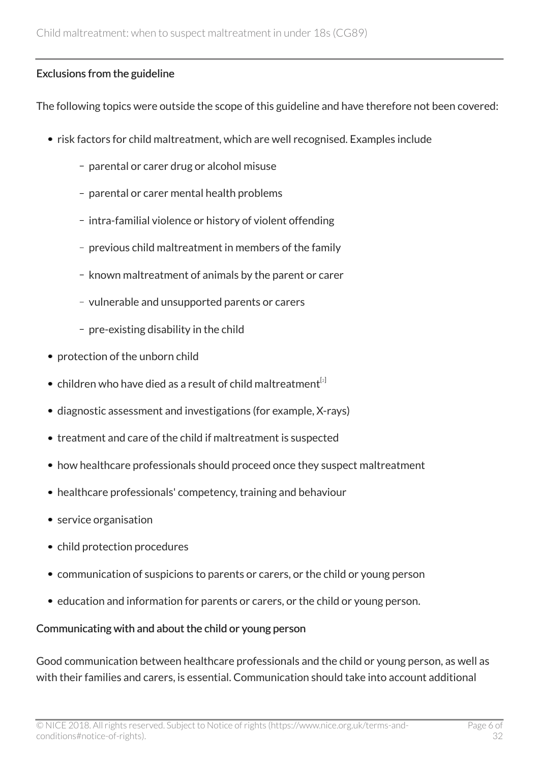#### Exclusions from the guideline

The following topics were outside the scope of this guideline and have therefore not been covered:

- risk factors for child maltreatment, which are well recognised. Examples include
	- parental or carer drug or alcohol misuse
	- parental or carer mental health problems
	- intra-familial violence or history of violent offending
	- previous child maltreatment in members of the family
	- known maltreatment of animals by the parent or carer
	- vulnerable and unsupported parents or carers
	- $-$  pre-existing disability in the child
- protection of the unborn child
- <span id="page-5-0"></span>• children who have died as a result of child maltreatment<sup>[[2](#page-7-1)]</sup>
- diagnostic assessment and investigations (for example, X-rays)
- treatment and care of the child if maltreatment is suspected
- how healthcare professionals should proceed once they suspect maltreatment
- healthcare professionals' competency, training and behaviour
- service organisation
- child protection procedures
- communication of suspicions to parents or carers, or the child or young person
- education and information for parents or carers, or the child or young person.

#### Communicating with and about the child or young person

Good communication between healthcare professionals and the child or young person, as well as with their families and carers, is essential. Communication should take into account additional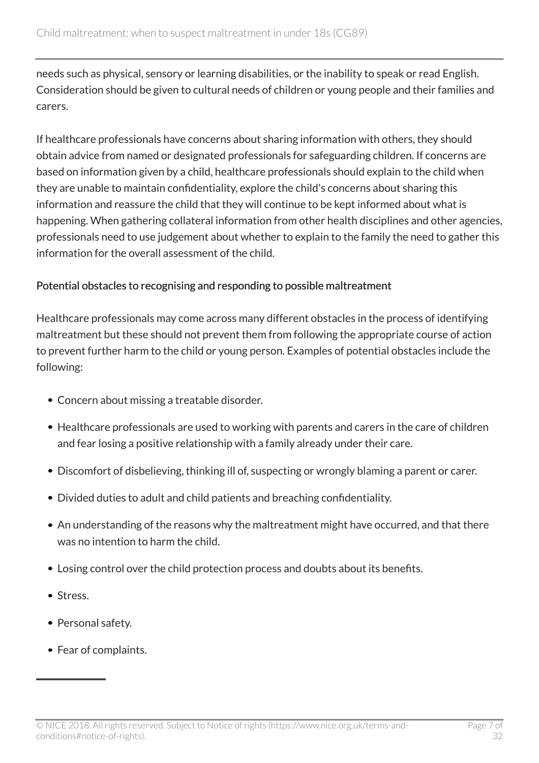needs such as physical, sensory or learning disabilities, or the inability to speak or read English. Consideration should be given to cultural needs of children or young people and their families and carers.

If healthcare professionals have concerns about sharing information with others, they should obtain advice from named or designated professionals for safeguarding children. If concerns are based on information given by a child, healthcare professionals should explain to the child when they are unable to maintain confidentiality, explore the child's concerns about sharing this information and reassure the child that they will continue to be kept informed about what is happening. When gathering collateral information from other health disciplines and other agencies, professionals need to use judgement about whether to explain to the family the need to gather this information for the overall assessment of the child.

#### Potential obstacles to recognising and responding to possible maltreatment

Healthcare professionals may come across many different obstacles in the process of identifying maltreatment but these should not prevent them from following the appropriate course of action to prevent further harm to the child or young person. Examples of potential obstacles include the following:

- Concern about missing a treatable disorder.
- Healthcare professionals are used to working with parents and carers in the care of children and fear losing a positive relationship with a family already under their care.
- Discomfort of disbelieving, thinking ill of, suspecting or wrongly blaming a parent or carer.
- Divided duties to adult and child patients and breaching confidentiality.
- An understanding of the reasons why the maltreatment might have occurred, and that there was no intention to harm the child.
- Losing control over the child protection process and doubts about its benefits.
- Stress.
- Personal safety.
- Fear of complaints.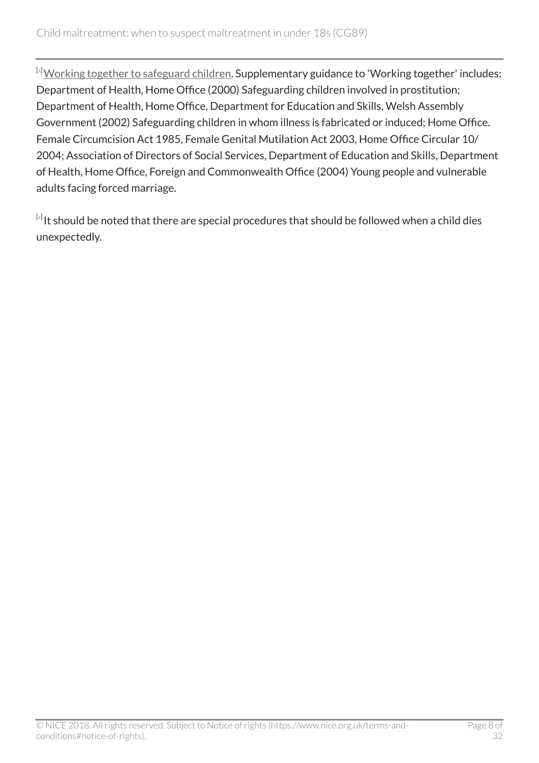<span id="page-7-0"></span>[[1](#page-4-1)] [Working together to safeguard children](http://www.dcsf.gov.uk/everychildmatters/safeguardingandsocialcare/safeguardingchildren/workingtogether/workingtogethertosafeguardchildren). Supplementary guidance to 'Working together' includes: Department of Health, Home Office (2000) Safeguarding children involved in prostitution; Department of Health, Home Office, Department for Education and Skills, Welsh Assembly Government (2002) Safeguarding children in whom illness is fabricated or induced; Home Office. Female Circumcision Act 1985, Female Genital Mutilation Act 2003, Home Office Circular 10/ 2004; Association of Directors of Social Services, Department of Education and Skills, Department of Health, Home Office, Foreign and Commonwealth Office (2004) Young people and vulnerable adults facing forced marriage.

<span id="page-7-1"></span> $^{\lbrack 2]}$  $^{\lbrack 2]}$  $^{\lbrack 2]}$ It should be noted that there are special procedures that should be followed when a child dies unexpectedly.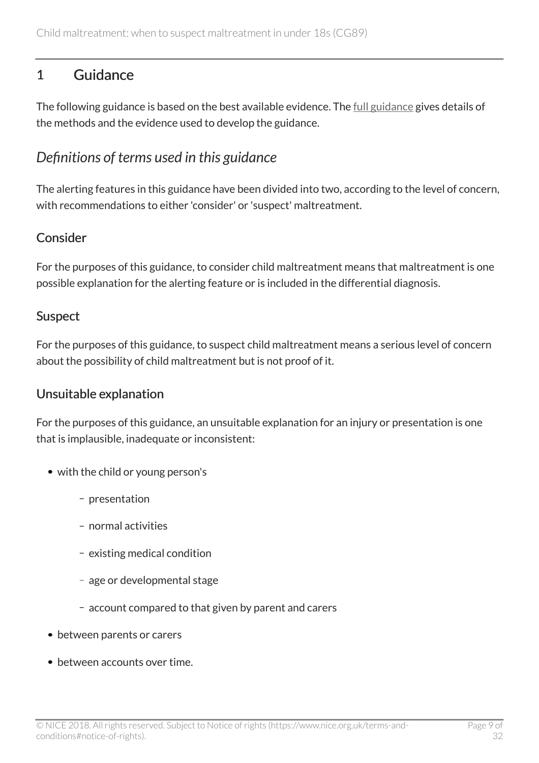# <span id="page-8-0"></span>1 Guidance

The following guidance is based on the best available evidence. The <u>[full guidance](http://www.nice.org.uk/guidance/cg89/evidence)</u> gives details of the methods and the evidence used to develop the guidance.

# <span id="page-8-1"></span>*Definitions of terms used in this guidance*

The alerting features in this guidance have been divided into two, according to the level of concern, with recommendations to either 'consider' or 'suspect' maltreatment.

### Consider

For the purposes of this guidance, to consider child maltreatment means that maltreatment is one possible explanation for the alerting feature or is included in the differential diagnosis.

### Suspect

For the purposes of this guidance, to suspect child maltreatment means a serious level of concern about the possibility of child maltreatment but is not proof of it.

### Unsuitable explanation

For the purposes of this guidance, an unsuitable explanation for an injury or presentation is one that is implausible, inadequate or inconsistent:

- with the child or young person's
	- presentation
	- normal activities
	- existing medical condition
	- age or developmental stage
	- account compared to that given by parent and carers
- between parents or carers
- between accounts over time.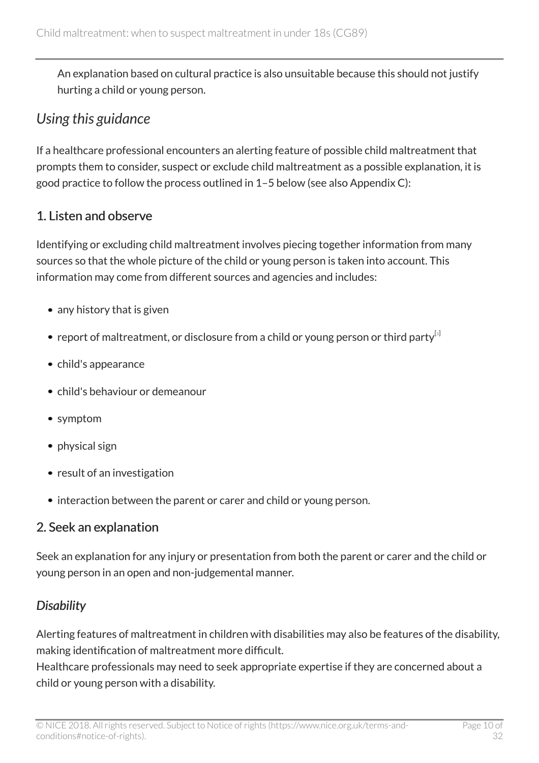An explanation based on cultural practice is also unsuitable because this should not justify hurting a child or young person.

# <span id="page-9-0"></span>*Using this guidance*

If a healthcare professional encounters an alerting feature of possible child maltreatment that prompts them to consider, suspect or exclude child maltreatment as a possible explanation, it is good practice to follow the process outlined in 1–5 below (see also Appendix C):

### 1. Listen and observe

Identifying or excluding child maltreatment involves piecing together information from many sources so that the whole picture of the child or young person is taken into account. This information may come from different sources and agencies and includes:

- any history that is given
- <span id="page-9-1"></span>• report of maltreatment, or disclosure from a child or young person or third party<sup>[[3](#page-27-0)]</sup>
- child's appearance
- child's behaviour or demeanour
- symptom
- physical sign
- result of an investigation
- interaction between the parent or carer and child or young person.

### 2. Seek an explanation

Seek an explanation for any injury or presentation from both the parent or carer and the child or young person in an open and non-judgemental manner.

### *Disability*

Alerting features of maltreatment in children with disabilities may also be features of the disability, making identification of maltreatment more difficult.

Healthcare professionals may need to seek appropriate expertise if they are concerned about a child or young person with a disability.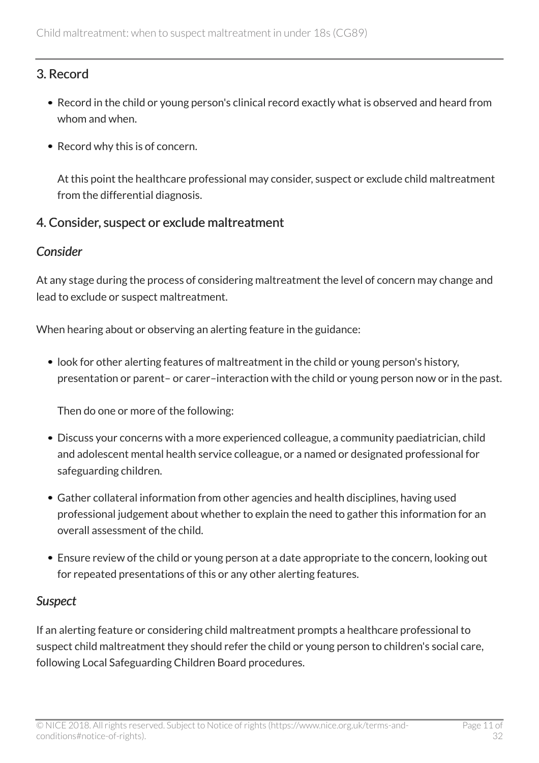### 3. Record

- Record in the child or young person's clinical record exactly what is observed and heard from whom and when.
- Record why this is of concern.

At this point the healthcare professional may consider, suspect or exclude child maltreatment from the differential diagnosis.

#### 4. Consider, suspect or exclude maltreatment

#### *Consider*

At any stage during the process of considering maltreatment the level of concern may change and lead to exclude or suspect maltreatment.

When hearing about or observing an alerting feature in the guidance:

• look for other alerting features of maltreatment in the child or young person's history, presentation or parent– or carer–interaction with the child or young person now or in the past.

Then do one or more of the following:

- Discuss your concerns with a more experienced colleague, a community paediatrician, child and adolescent mental health service colleague, or a named or designated professional for safeguarding children.
- Gather collateral information from other agencies and health disciplines, having used professional judgement about whether to explain the need to gather this information for an overall assessment of the child.
- Ensure review of the child or young person at a date appropriate to the concern, looking out for repeated presentations of this or any other alerting features.

### *Suspect*

If an alerting feature or considering child maltreatment prompts a healthcare professional to suspect child maltreatment they should refer the child or young person to children's social care, following Local Safeguarding Children Board procedures.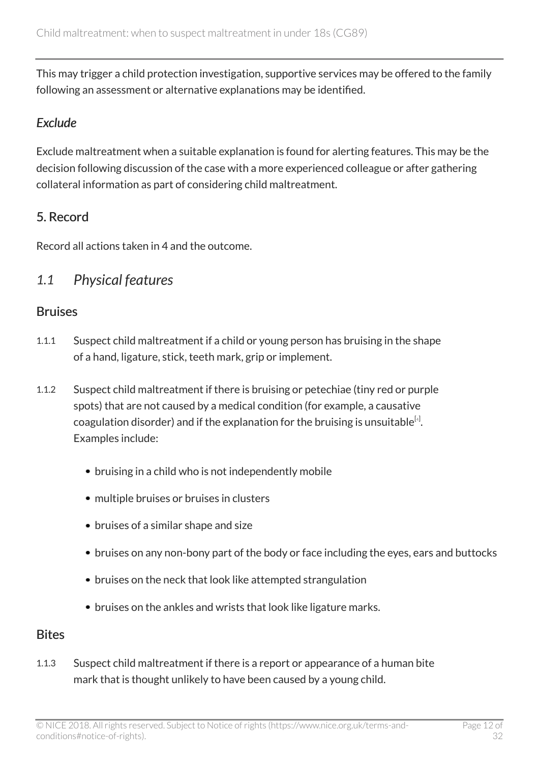This may trigger a child protection investigation, supportive services may be offered to the family following an assessment or alternative explanations may be identified.

### *Exclude*

Exclude maltreatment when a suitable explanation is found for alerting features. This may be the decision following discussion of the case with a more experienced colleague or after gathering collateral information as part of considering child maltreatment.

### 5. Record

Record all actions taken in 4 and the outcome.

# <span id="page-11-0"></span>*1.1 Physical features*

### **Bruises**

- 1.1.1 Suspect child maltreatment if a child or young person has bruising in the shape of a hand, ligature, stick, teeth mark, grip or implement.
- <span id="page-11-1"></span>1.1.2 Suspect child maltreatment if there is bruising or petechiae (tiny red or purple spots) that are not caused by a medical condition (for example, a causative coagulation disorder) and if the explanation for the bruising is unsuitable  $^{[4]}$  $^{[4]}$  $^{[4]}$ . Examples include:
	- bruising in a child who is not independently mobile
	- multiple bruises or bruises in clusters
	- bruises of a similar shape and size
	- bruises on any non-bony part of the body or face including the eyes, ears and buttocks
	- bruises on the neck that look like attempted strangulation
	- bruises on the ankles and wrists that look like ligature marks.

### **Bites**

1.1.3 Suspect child maltreatment if there is a report or appearance of a human bite mark that is thought unlikely to have been caused by a young child.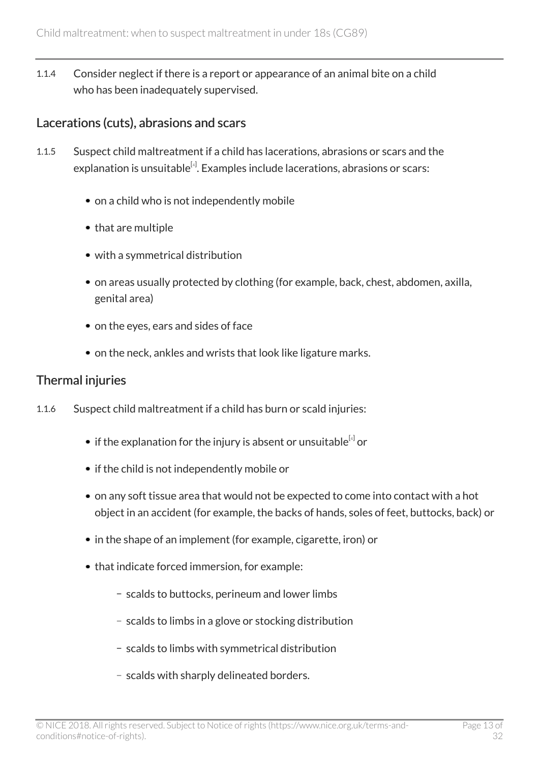1.1.4 Consider neglect if there is a report or appearance of an animal bite on a child who has been inadequately supervised.

### Lacerations (cuts), abrasions and scars

- 1.1.5 Suspect child maltreatment if a child has lacerations, abrasions or scars and the explanation is unsuitable $^{\left[ a\right] }$ . Examples include lacerations, abrasions or scars:
	- on a child who is not independently mobile
	- that are multiple
	- with a symmetrical distribution
	- on areas usually protected by clothing (for example, back, chest, abdomen, axilla, genital area)
	- on the eyes, ears and sides of face
	- on the neck, ankles and wrists that look like ligature marks.

### Thermal injuries

- 1.1.6 Suspect child maltreatment if a child has burn or scald injuries:
	- if the explanation for the injury is absent or unsuitable $^{\left[ a\right] }$  or
	- if the child is not independently mobile or
	- on any soft tissue area that would not be expected to come into contact with a hot object in an accident (for example, the backs of hands, soles of feet, buttocks, back) or
	- in the shape of an implement (for example, cigarette, iron) or
	- that indicate forced immersion, for example:
		- scalds to buttocks, perineum and lower limbs
		- scalds to limbs in a glove or stocking distribution
		- scalds to limbs with symmetrical distribution
		- scalds with sharply delineated borders.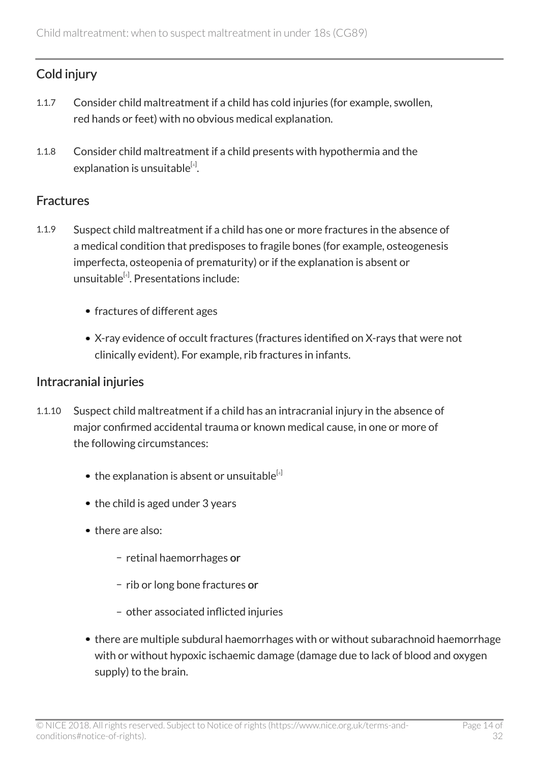### Cold injury

- 1.1.7 Consider child maltreatment if a child has cold injuries (for example, swollen, red hands or feet) with no obvious medical explanation.
- 1.1.8 Consider child maltreatment if a child presents with hypothermia and the explanation is unsuitable $^{\left[ 4\right] }$  $^{\left[ 4\right] }$  $^{\left[ 4\right] }$ .

#### **Fractures**

- 1.1.9 Suspect child maltreatment if a child has one or more fractures in the absence of a medical condition that predisposes to fragile bones (for example, osteogenesis imperfecta, osteopenia of prematurity) or if the explanation is absent or unsuitable<sup>[[4](#page-27-1)]</sup>. Presentations include:
	- fractures of different ages
	- X-ray evidence of occult fractures (fractures identified on X-rays that were not clinically evident). For example, rib fractures in infants.

#### Intracranial injuries

- 1.1.10 Suspect child maltreatment if a child has an intracranial injury in the absence of major confirmed accidental trauma or known medical cause, in one or more of the following circumstances:
	- $\bullet$  the explanation is absent or unsuitable<sup>[[4](#page-27-1)]</sup>
	- the child is aged under 3 years
	- there are also:
		- retinal haemorrhages or
		- rib or long bone fractures or
		- other associated inflicted injuries
	- there are multiple subdural haemorrhages with or without subarachnoid haemorrhage with or without hypoxic ischaemic damage (damage due to lack of blood and oxygen supply) to the brain.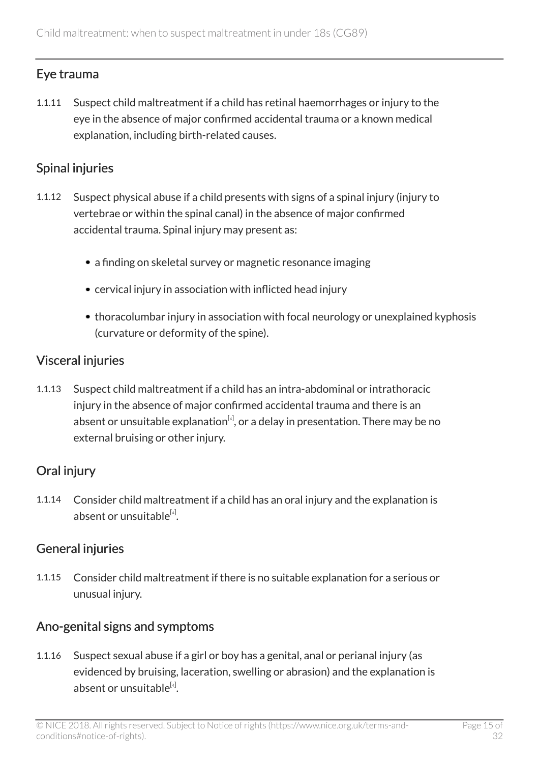### Eye trauma

1.1.11 Suspect child maltreatment if a child has retinal haemorrhages or injury to the eye in the absence of major confirmed accidental trauma or a known medical explanation, including birth-related causes.

### Spinal injuries

- 1.1.12 Suspect physical abuse if a child presents with signs of a spinal injury (injury to vertebrae or within the spinal canal) in the absence of major confirmed accidental trauma. Spinal injury may present as:
	- a finding on skeletal survey or magnetic resonance imaging
	- cervical injury in association with inflicted head injury
	- thoracolumbar injury in association with focal neurology or unexplained kyphosis (curvature or deformity of the spine).

### Visceral injuries

1.1.13 Suspect child maltreatment if a child has an intra-abdominal or intrathoracic injury in the absence of major confirmed accidental trauma and there is an absent or unsuitable explanation $^{[4]}$  $^{[4]}$  $^{[4]}$ , or a delay in presentation. There may be no external bruising or other injury.

### Oral injury

1.1.14 Consider child maltreatment if a child has an oral injury and the explanation is absent or unsuitable<sup>[[4](#page-27-1)]</sup>.

### General injuries

1.1.15 Consider child maltreatment if there is no suitable explanation for a serious or unusual injury.

### Ano-genital signs and symptoms

1.1.16 Suspect sexual abuse if a girl or boy has a genital, anal or perianal injury (as evidenced by bruising, laceration, swelling or abrasion) and the explanation is absent or unsuitable<sup>[[4](#page-27-1)]</sup>.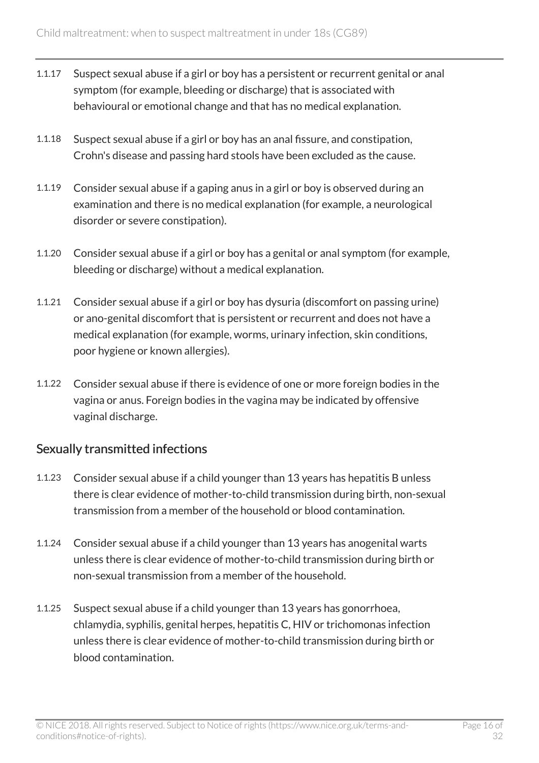- 1.1.17 Suspect sexual abuse if a girl or boy has a persistent or recurrent genital or anal symptom (for example, bleeding or discharge) that is associated with behavioural or emotional change and that has no medical explanation.
- 1.1.18 Suspect sexual abuse if a girl or boy has an anal fissure, and constipation, Crohn's disease and passing hard stools have been excluded as the cause.
- 1.1.19 Consider sexual abuse if a gaping anus in a girl or boy is observed during an examination and there is no medical explanation (for example, a neurological disorder or severe constipation).
- 1.1.20 Consider sexual abuse if a girl or boy has a genital or anal symptom (for example, bleeding or discharge) without a medical explanation.
- 1.1.21 Consider sexual abuse if a girl or boy has dysuria (discomfort on passing urine) or ano-genital discomfort that is persistent or recurrent and does not have a medical explanation (for example, worms, urinary infection, skin conditions, poor hygiene or known allergies).
- 1.1.22 Consider sexual abuse if there is evidence of one or more foreign bodies in the vagina or anus. Foreign bodies in the vagina may be indicated by offensive vaginal discharge.

### Sexually transmitted infections

- 1.1.23 Consider sexual abuse if a child younger than 13 years has hepatitis B unless there is clear evidence of mother-to-child transmission during birth, non-sexual transmission from a member of the household or blood contamination.
- 1.1.24 Consider sexual abuse if a child younger than 13 years has anogenital warts unless there is clear evidence of mother-to-child transmission during birth or non-sexual transmission from a member of the household.
- 1.1.25 Suspect sexual abuse if a child younger than 13 years has gonorrhoea, chlamydia, syphilis, genital herpes, hepatitis C, HIV or trichomonas infection unless there is clear evidence of mother-to-child transmission during birth or blood contamination.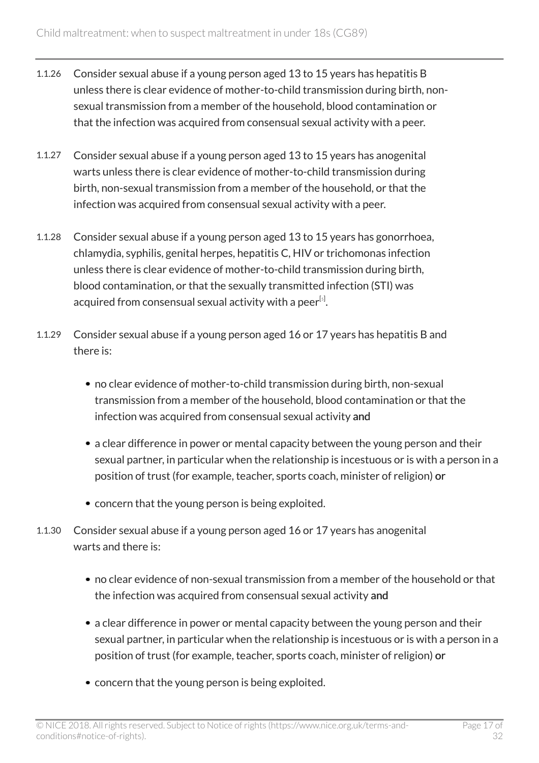- 1.1.26 Consider sexual abuse if a young person aged 13 to 15 years has hepatitis B unless there is clear evidence of mother-to-child transmission during birth, nonsexual transmission from a member of the household, blood contamination or that the infection was acquired from consensual sexual activity with a peer.
- 1.1.27 Consider sexual abuse if a young person aged 13 to 15 years has anogenital warts unless there is clear evidence of mother-to-child transmission during birth, non-sexual transmission from a member of the household, or that the infection was acquired from consensual sexual activity with a peer.
- 1.1.28 Consider sexual abuse if a young person aged 13 to 15 years has gonorrhoea, chlamydia, syphilis, genital herpes, hepatitis C, HIV or trichomonas infection unless there is clear evidence of mother-to-child transmission during birth, blood contamination, or that the sexually transmitted infection (STI) was acquired from consensual sexual activity with a peer $^{\text{\tiny{[s]}}}$ .
- <span id="page-16-0"></span>1.1.29 Consider sexual abuse if a young person aged 16 or 17 years has hepatitis B and there is:
	- no clear evidence of mother-to-child transmission during birth, non-sexual transmission from a member of the household, blood contamination or that the infection was acquired from consensual sexual activity and
	- a clear difference in power or mental capacity between the young person and their sexual partner, in particular when the relationship is incestuous or is with a person in a position of trust (for example, teacher, sports coach, minister of religion) or
	- concern that the young person is being exploited.
- 1.1.30 Consider sexual abuse if a young person aged 16 or 17 years has anogenital warts and there is:
	- no clear evidence of non-sexual transmission from a member of the household or that the infection was acquired from consensual sexual activity and
	- a clear difference in power or mental capacity between the young person and their sexual partner, in particular when the relationship is incestuous or is with a person in a position of trust (for example, teacher, sports coach, minister of religion) or
	- concern that the young person is being exploited.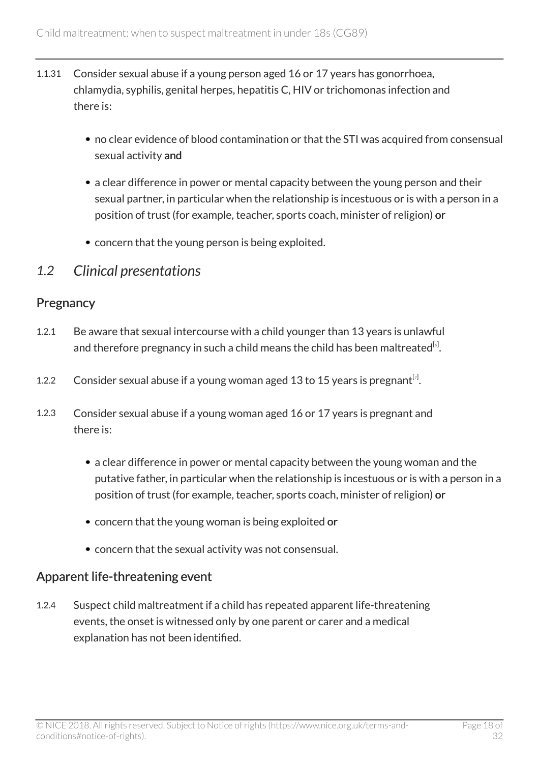- 1.1.31 Consider sexual abuse if a young person aged 16 or 17 years has gonorrhoea, chlamydia, syphilis, genital herpes, hepatitis C, HIV or trichomonas infection and there is:
	- no clear evidence of blood contamination or that the STI was acquired from consensual sexual activity and
	- a clear difference in power or mental capacity between the young person and their sexual partner, in particular when the relationship is incestuous or is with a person in a position of trust (for example, teacher, sports coach, minister of religion) or
	- concern that the young person is being exploited.

### <span id="page-17-0"></span>*1.2 Clinical presentations*

#### **Pregnancy**

- <span id="page-17-1"></span>1.2.1 Be aware that sexual intercourse with a child younger than 13 years is unlawful and therefore pregnancy in such a child means the child has been maltreated $^{\lbrack 6 \rbrack}$  $^{\lbrack 6 \rbrack}$  $^{\lbrack 6 \rbrack}$ .
- <span id="page-17-2"></span>1.2.2 Consider sexual abuse if a young woman aged 13 to 15 years is pregnant $^{[\tau]}$ .
- 1.2.3 Consider sexual abuse if a young woman aged 16 or 17 years is pregnant and there is:
	- a clear difference in power or mental capacity between the young woman and the putative father, in particular when the relationship is incestuous or is with a person in a position of trust (for example, teacher, sports coach, minister of religion) or
	- concern that the young woman is being exploited or
	- concern that the sexual activity was not consensual.

### Apparent life-threatening event

1.2.4 Suspect child maltreatment if a child has repeated apparent life-threatening events, the onset is witnessed only by one parent or carer and a medical explanation has not been identified.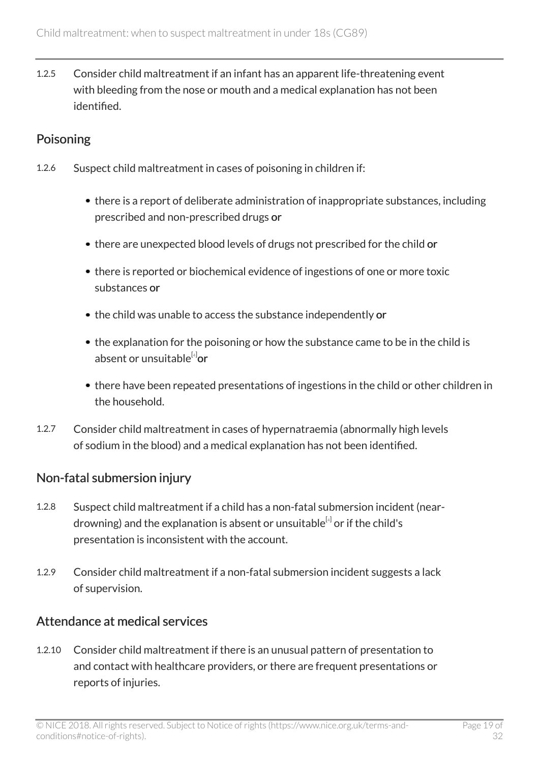1.2.5 Consider child maltreatment if an infant has an apparent life-threatening event with bleeding from the nose or mouth and a medical explanation has not been identified.

### Poisoning

- 1.2.6 Suspect child maltreatment in cases of poisoning in children if:
	- there is a report of deliberate administration of inappropriate substances, including prescribed and non-prescribed drugs or
	- there are unexpected blood levels of drugs not prescribed for the child or
	- there is reported or biochemical evidence of ingestions of one or more toxic substances or
	- the child was unable to access the substance independently or
	- the explanation for the poisoning or how the substance came to be in the child is absent or unsuitable<sup>[[4](#page-27-1)]</sup>or
	- there have been repeated presentations of ingestions in the child or other children in the household.
- 1.2.7 Consider child maltreatment in cases of hypernatraemia (abnormally high levels of sodium in the blood) and a medical explanation has not been identified.

### Non-fatal submersion injury

- 1.2.8 Suspect child maltreatment if a child has a non-fatal submersion incident (near-drowning) and the explanation is absent or unsuitable<sup>[[4](#page-27-1)]</sup> or if the child's presentation is inconsistent with the account.
- 1.2.9 Consider child maltreatment if a non-fatal submersion incident suggests a lack of supervision.

### Attendance at medical services

1.2.10 Consider child maltreatment if there is an unusual pattern of presentation to and contact with healthcare providers, or there are frequent presentations or reports of injuries.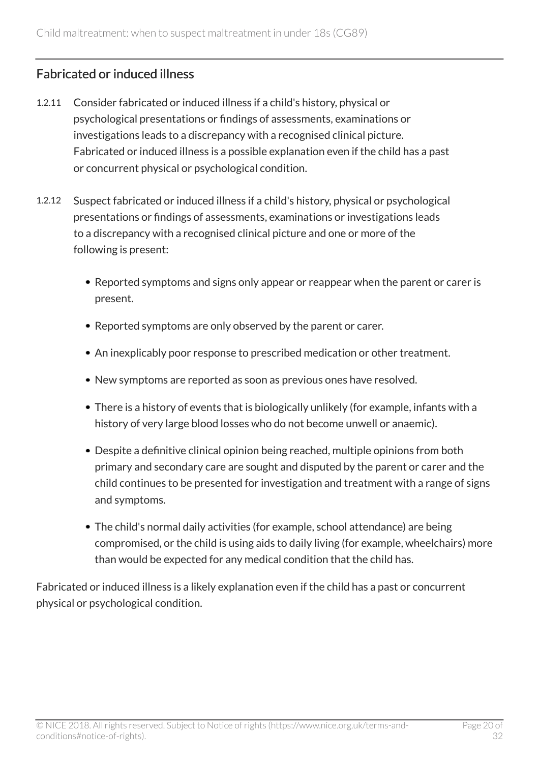### Fabricated or induced illness

- 1.2.11 Consider fabricated or induced illness if a child's history, physical or psychological presentations or findings of assessments, examinations or investigations leads to a discrepancy with a recognised clinical picture. Fabricated or induced illness is a possible explanation even if the child has a past or concurrent physical or psychological condition.
- 1.2.12 Suspect fabricated or induced illness if a child's history, physical or psychological presentations or findings of assessments, examinations or investigations leads to a discrepancy with a recognised clinical picture and one or more of the following is present:
	- Reported symptoms and signs only appear or reappear when the parent or carer is present.
	- Reported symptoms are only observed by the parent or carer.
	- An inexplicably poor response to prescribed medication or other treatment.
	- New symptoms are reported as soon as previous ones have resolved.
	- There is a history of events that is biologically unlikely (for example, infants with a history of very large blood losses who do not become unwell or anaemic).
	- Despite a definitive clinical opinion being reached, multiple opinions from both primary and secondary care are sought and disputed by the parent or carer and the child continues to be presented for investigation and treatment with a range of signs and symptoms.
	- The child's normal daily activities (for example, school attendance) are being compromised, or the child is using aids to daily living (for example, wheelchairs) more than would be expected for any medical condition that the child has.

Fabricated or induced illness is a likely explanation even if the child has a past or concurrent physical or psychological condition.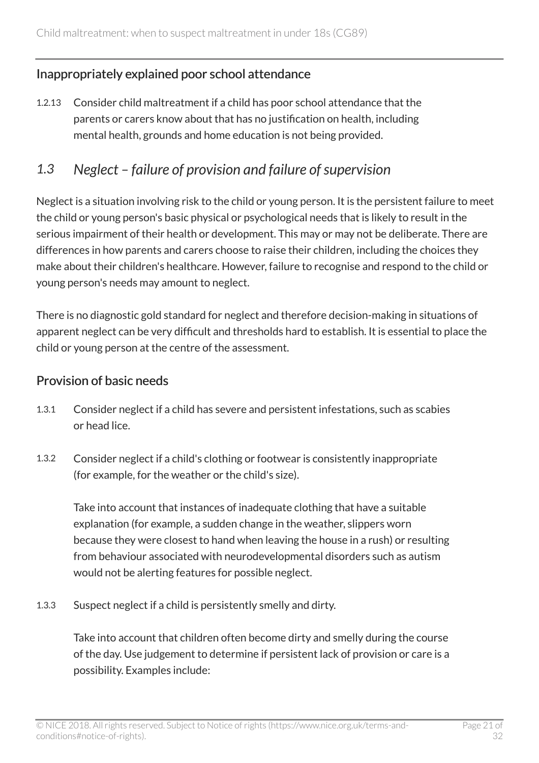### Inappropriately explained poor school attendance

1.2.13 Consider child maltreatment if a child has poor school attendance that the parents or carers know about that has no justification on health, including mental health, grounds and home education is not being provided.

# <span id="page-20-0"></span>*1.3 Neglect – failure of provision and failure of supervision*

Neglect is a situation involving risk to the child or young person. It is the persistent failure to meet the child or young person's basic physical or psychological needs that is likely to result in the serious impairment of their health or development. This may or may not be deliberate. There are differences in how parents and carers choose to raise their children, including the choices they make about their children's healthcare. However, failure to recognise and respond to the child or young person's needs may amount to neglect.

There is no diagnostic gold standard for neglect and therefore decision-making in situations of apparent neglect can be very difficult and thresholds hard to establish. It is essential to place the child or young person at the centre of the assessment.

#### Provision of basic needs

- 1.3.1 Consider neglect if a child has severe and persistent infestations, such as scabies or head lice.
- 1.3.2 Consider neglect if a child's clothing or footwear is consistently inappropriate (for example, for the weather or the child's size).

Take into account that instances of inadequate clothing that have a suitable explanation (for example, a sudden change in the weather, slippers worn because they were closest to hand when leaving the house in a rush) or resulting from behaviour associated with neurodevelopmental disorders such as autism would not be alerting features for possible neglect.

1.3.3 Suspect neglect if a child is persistently smelly and dirty.

Take into account that children often become dirty and smelly during the course of the day. Use judgement to determine if persistent lack of provision or care is a possibility. Examples include: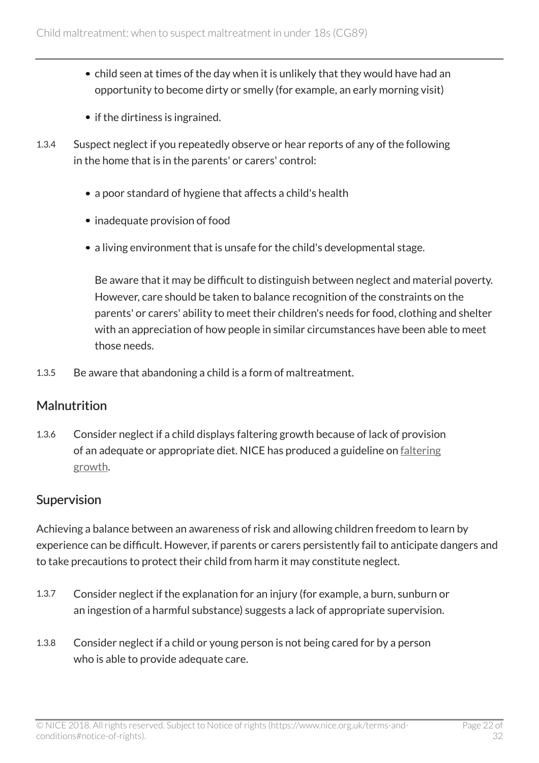- child seen at times of the day when it is unlikely that they would have had an opportunity to become dirty or smelly (for example, an early morning visit)
- if the dirtiness is ingrained.
- 1.3.4 Suspect neglect if you repeatedly observe or hear reports of any of the following in the home that is in the parents' or carers' control:
	- a poor standard of hygiene that affects a child's health
	- inadequate provision of food
	- a living environment that is unsafe for the child's developmental stage.

Be aware that it may be difficult to distinguish between neglect and material poverty. However, care should be taken to balance recognition of the constraints on the parents' or carers' ability to meet their children's needs for food, clothing and shelter with an appreciation of how people in similar circumstances have been able to meet those needs.

1.3.5 Be aware that abandoning a child is a form of maltreatment.

### **Malnutrition**

1.3.6 Consider neglect if a child displays faltering growth because of lack of provision of an adequate or appropriate diet. NICE has produced a guideline on [faltering](http://www.nice.org.uk/guidance/ng75) [growth](http://www.nice.org.uk/guidance/ng75).

#### Supervision

Achieving a balance between an awareness of risk and allowing children freedom to learn by experience can be difficult. However, if parents or carers persistently fail to anticipate dangers and to take precautions to protect their child from harm it may constitute neglect.

- 1.3.7 Consider neglect if the explanation for an injury (for example, a burn, sunburn or an ingestion of a harmful substance) suggests a lack of appropriate supervision.
- 1.3.8 Consider neglect if a child or young person is not being cared for by a person who is able to provide adequate care.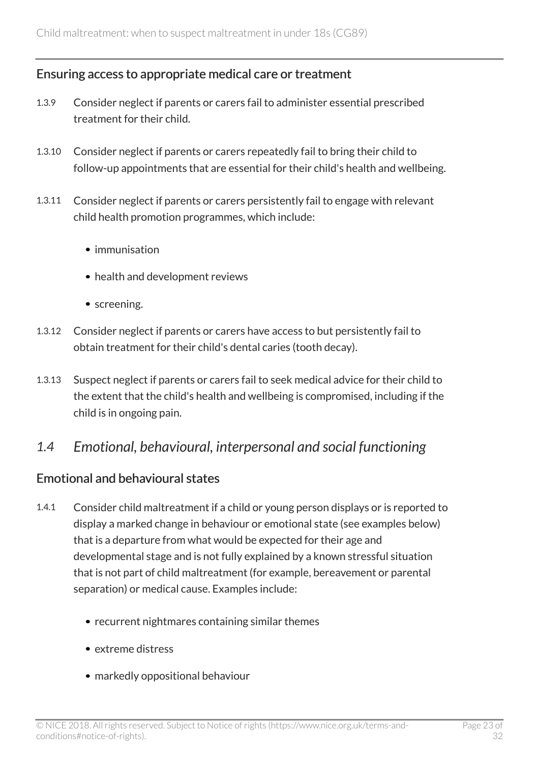#### Ensuring access to appropriate medical care or treatment

- 1.3.9 Consider neglect if parents or carers fail to administer essential prescribed treatment for their child.
- 1.3.10 Consider neglect if parents or carers repeatedly fail to bring their child to follow-up appointments that are essential for their child's health and wellbeing.
- 1.3.11 Consider neglect if parents or carers persistently fail to engage with relevant child health promotion programmes, which include:
	- immunisation
	- health and development reviews
	- screening.
- 1.3.12 Consider neglect if parents or carers have access to but persistently fail to obtain treatment for their child's dental caries (tooth decay).
- 1.3.13 Suspect neglect if parents or carers fail to seek medical advice for their child to the extent that the child's health and wellbeing is compromised, including if the child is in ongoing pain.

### <span id="page-22-0"></span>*1.4 Emotional, behavioural, interpersonal and social functioning*

#### Emotional and behavioural states

- 1.4.1 Consider child maltreatment if a child or young person displays or is reported to display a marked change in behaviour or emotional state (see examples below) that is a departure from what would be expected for their age and developmental stage and is not fully explained by a known stressful situation that is not part of child maltreatment (for example, bereavement or parental separation) or medical cause. Examples include:
	- recurrent nightmares containing similar themes
	- extreme distress
	- markedly oppositional behaviour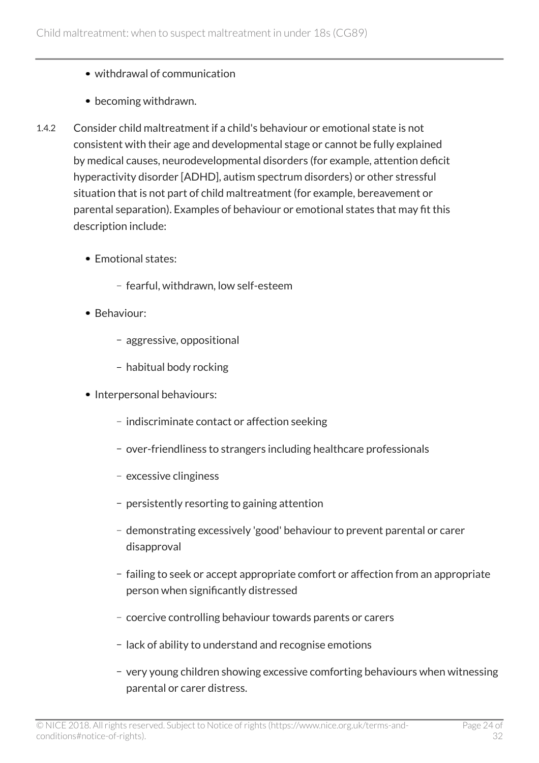- withdrawal of communication
- becoming withdrawn.
- 1.4.2 Consider child maltreatment if a child's behaviour or emotional state is not consistent with their age and developmental stage or cannot be fully explained by medical causes, neurodevelopmental disorders (for example, attention deficit hyperactivity disorder [ADHD], autism spectrum disorders) or other stressful situation that is not part of child maltreatment (for example, bereavement or parental separation). Examples of behaviour or emotional states that may fit this description include:
	- Emotional states:
		- fearful, withdrawn, low self-esteem
	- Behaviour:
		- aggressive, oppositional
		- habitual body rocking
	- Interpersonal behaviours:
		- indiscriminate contact or affection seeking
		- over-friendliness to strangers including healthcare professionals
		- excessive clinginess
		- persistently resorting to gaining attention
		- demonstrating excessively 'good' behaviour to prevent parental or carer disapproval
		- failing to seek or accept appropriate comfort or affection from an appropriate person when significantly distressed
		- coercive controlling behaviour towards parents or carers
		- lack of ability to understand and recognise emotions
		- very young children showing excessive comforting behaviours when witnessing parental or carer distress.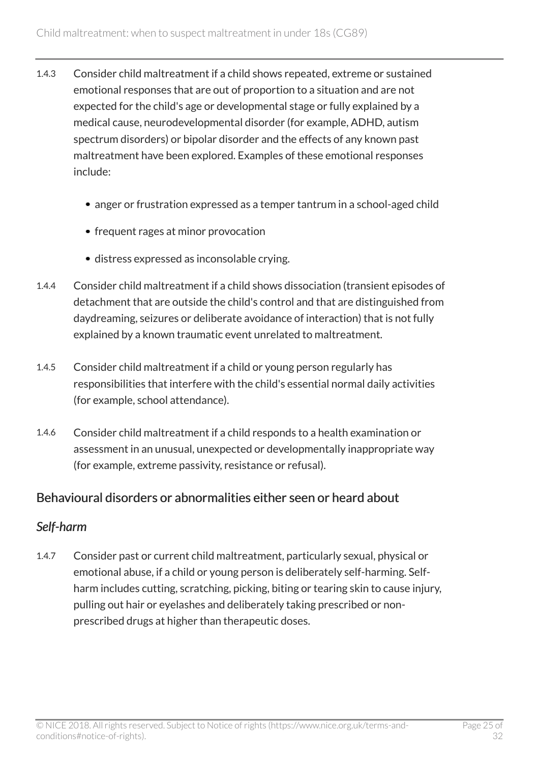- 1.4.3 Consider child maltreatment if a child shows repeated, extreme or sustained emotional responses that are out of proportion to a situation and are not expected for the child's age or developmental stage or fully explained by a medical cause, neurodevelopmental disorder (for example, ADHD, autism spectrum disorders) or bipolar disorder and the effects of any known past maltreatment have been explored. Examples of these emotional responses include:
	- anger or frustration expressed as a temper tantrum in a school-aged child
	- frequent rages at minor provocation
	- distress expressed as inconsolable crying.
- 1.4.4 Consider child maltreatment if a child shows dissociation (transient episodes of detachment that are outside the child's control and that are distinguished from daydreaming, seizures or deliberate avoidance of interaction) that is not fully explained by a known traumatic event unrelated to maltreatment.
- 1.4.5 Consider child maltreatment if a child or young person regularly has responsibilities that interfere with the child's essential normal daily activities (for example, school attendance).
- 1.4.6 Consider child maltreatment if a child responds to a health examination or assessment in an unusual, unexpected or developmentally inappropriate way (for example, extreme passivity, resistance or refusal).

#### Behavioural disorders or abnormalities either seen or heard about

### *Self-harm*

1.4.7 Consider past or current child maltreatment, particularly sexual, physical or emotional abuse, if a child or young person is deliberately self-harming. Selfharm includes cutting, scratching, picking, biting or tearing skin to cause injury, pulling out hair or eyelashes and deliberately taking prescribed or nonprescribed drugs at higher than therapeutic doses.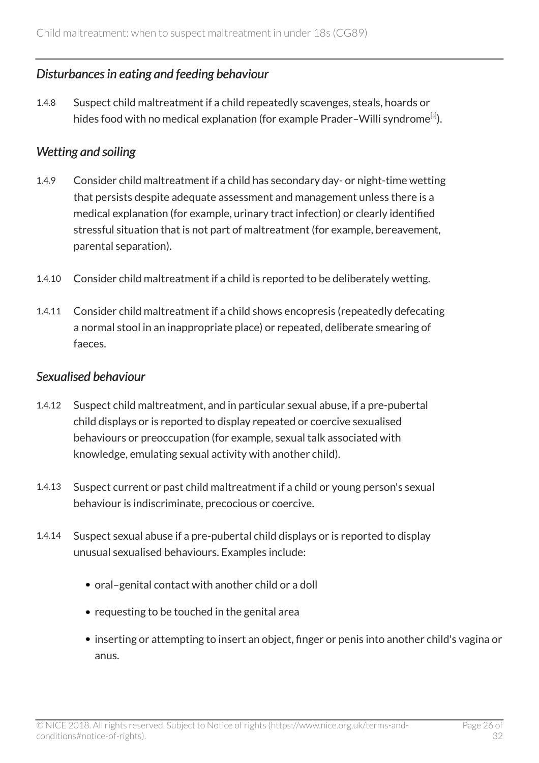### *Disturbances in eating and feeding behaviour*

<span id="page-25-0"></span>1.4.8 Suspect child maltreatment if a child repeatedly scavenges, steals, hoards or hides food with no medical explanation (for example Prader–Willi syndrome $^{\text{\tiny{[s]}})}.$ 

#### *Wetting and soiling*

- 1.4.9 Consider child maltreatment if a child has secondary day- or night-time wetting that persists despite adequate assessment and management unless there is a medical explanation (for example, urinary tract infection) or clearly identified stressful situation that is not part of maltreatment (for example, bereavement, parental separation).
- 1.4.10 Consider child maltreatment if a child is reported to be deliberately wetting.
- 1.4.11 Consider child maltreatment if a child shows encopresis (repeatedly defecating a normal stool in an inappropriate place) or repeated, deliberate smearing of faeces.

#### *Sexualised behaviour*

- 1.4.12 Suspect child maltreatment, and in particular sexual abuse, if a pre-pubertal child displays or is reported to display repeated or coercive sexualised behaviours or preoccupation (for example, sexual talk associated with knowledge, emulating sexual activity with another child).
- 1.4.13 Suspect current or past child maltreatment if a child or young person's sexual behaviour is indiscriminate, precocious or coercive.
- 1.4.14 Suspect sexual abuse if a pre-pubertal child displays or is reported to display unusual sexualised behaviours. Examples include:
	- oral–genital contact with another child or a doll
	- requesting to be touched in the genital area
	- inserting or attempting to insert an object, finger or penis into another child's vagina or anus.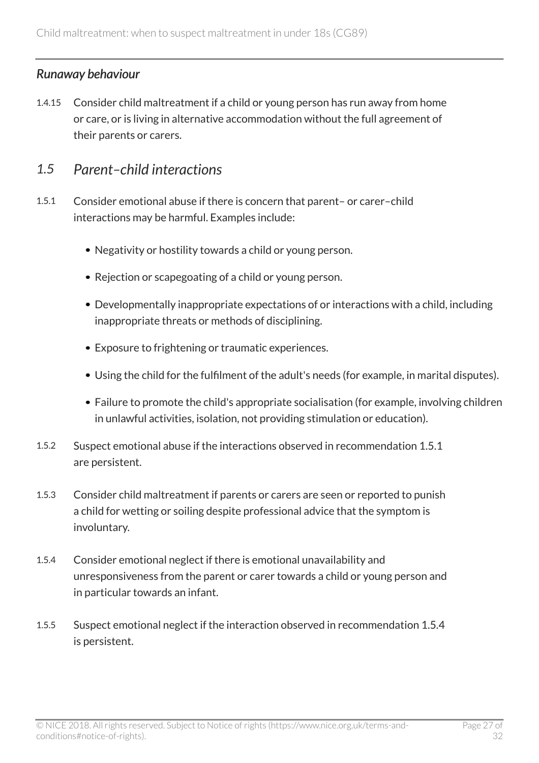### *Runaway behaviour*

1.4.15 Consider child maltreatment if a child or young person has run away from home or care, or is living in alternative accommodation without the full agreement of their parents or carers.

### <span id="page-26-0"></span>*1.5 Parent–child interactions*

- 1.5.1 Consider emotional abuse if there is concern that parent– or carer–child interactions may be harmful. Examples include:
	- Negativity or hostility towards a child or young person.
	- Rejection or scapegoating of a child or young person.
	- Developmentally inappropriate expectations of or interactions with a child, including inappropriate threats or methods of disciplining.
	- Exposure to frightening or traumatic experiences.
	- Using the child for the fulfilment of the adult's needs (for example, in marital disputes).
	- Failure to promote the child's appropriate socialisation (for example, involving children in unlawful activities, isolation, not providing stimulation or education).
- 1.5.2 Suspect emotional abuse if the interactions observed in recommendation 1.5.1 are persistent.
- 1.5.3 Consider child maltreatment if parents or carers are seen or reported to punish a child for wetting or soiling despite professional advice that the symptom is involuntary.
- 1.5.4 Consider emotional neglect if there is emotional unavailability and unresponsiveness from the parent or carer towards a child or young person and in particular towards an infant.
- 1.5.5 Suspect emotional neglect if the interaction observed in recommendation 1.5.4 is persistent.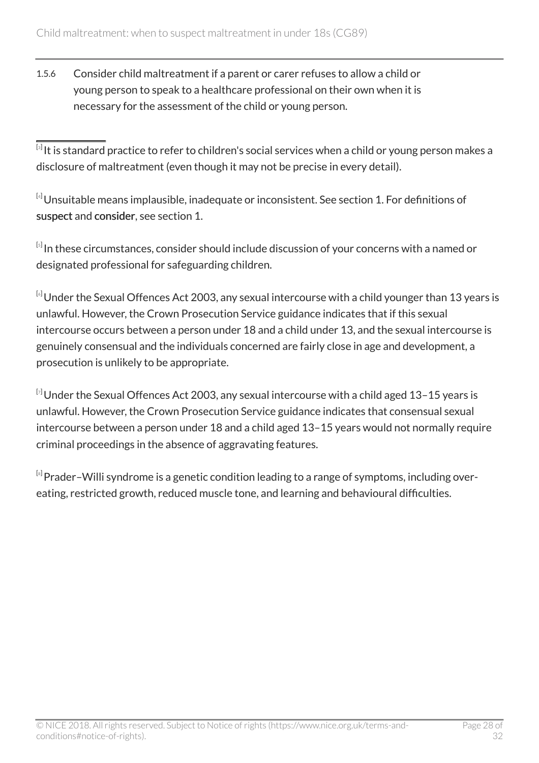1.5.6 Consider child maltreatment if a parent or carer refuses to allow a child or young person to speak to a healthcare professional on their own when it is necessary for the assessment of the child or young person.

<span id="page-27-0"></span> $^{\text{\tiny{[3]}}}$  $^{\text{\tiny{[3]}}}$  $^{\text{\tiny{[3]}}}$ It is standard practice to refer to children's social services when a child or young person makes a disclosure of maltreatment (even though it may not be precise in every detail).

<span id="page-27-1"></span> $[4]$  $[4]$  $[4]$ Unsuitable means implausible, inadequate or inconsistent. See section 1. For definitions of suspect and consider, see section 1.

<span id="page-27-2"></span> $^{\text{\tiny{[s]}}}$ In these circumstances, consider should include discussion of your concerns with a named or designated professional for safeguarding children.

<span id="page-27-3"></span>[[6](#page-17-1)] Under the Sexual Offences Act 2003, any sexual intercourse with a child younger than 13 years is unlawful. However, the Crown Prosecution Service guidance indicates that if this sexual intercourse occurs between a person under 18 and a child under 13, and the sexual intercourse is genuinely consensual and the individuals concerned are fairly close in age and development, a prosecution is unlikely to be appropriate.

<span id="page-27-4"></span> $^{[\imath]}$ Under the Sexual Offences Act 2003, any sexual intercourse with a child aged 13–15 years is unlawful. However, the Crown Prosecution Service guidance indicates that consensual sexual intercourse between a person under 18 and a child aged 13–15 years would not normally require criminal proceedings in the absence of aggravating features.

<span id="page-27-5"></span> $^{\text{\tiny{[s]}}}$ Prader–Willi syndrome is a genetic condition leading to a range of symptoms, including overeating, restricted growth, reduced muscle tone, and learning and behavioural difficulties.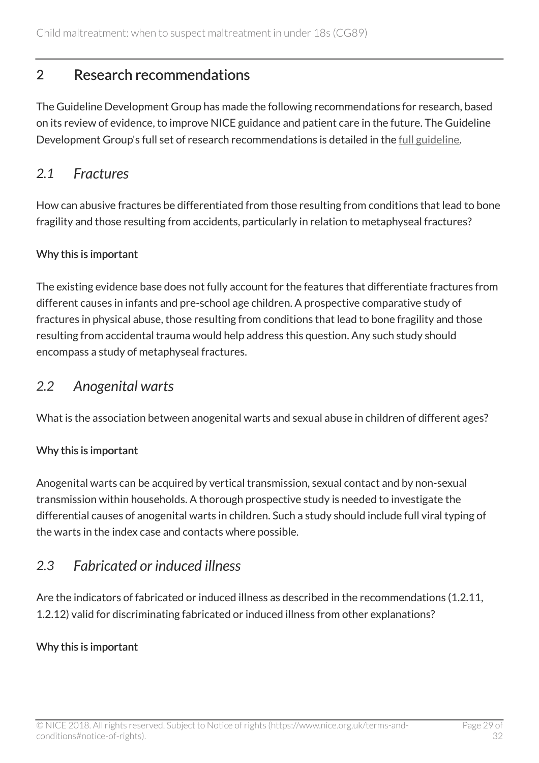# <span id="page-28-0"></span>2 Research recommendations

The Guideline Development Group has made the following recommendations for research, based on its review of evidence, to improve NICE guidance and patient care in the future. The Guideline Development Group's full set of research recommendations is detailed in the [full guideline](https://www.nice.org.uk/guidance/cg89/evidence).

### <span id="page-28-1"></span>*2.1 Fractures*

How can abusive fractures be differentiated from those resulting from conditions that lead to bone fragility and those resulting from accidents, particularly in relation to metaphyseal fractures?

#### Why this is important

The existing evidence base does not fully account for the features that differentiate fractures from different causes in infants and pre-school age children. A prospective comparative study of fractures in physical abuse, those resulting from conditions that lead to bone fragility and those resulting from accidental trauma would help address this question. Any such study should encompass a study of metaphyseal fractures.

### <span id="page-28-2"></span>*2.2 Anogenital warts*

What is the association between anogenital warts and sexual abuse in children of different ages?

### Why this is important

Anogenital warts can be acquired by vertical transmission, sexual contact and by non-sexual transmission within households. A thorough prospective study is needed to investigate the differential causes of anogenital warts in children. Such a study should include full viral typing of the warts in the index case and contacts where possible.

# <span id="page-28-3"></span>*2.3 Fabricated or induced illness*

Are the indicators of fabricated or induced illness as described in the recommendations (1.2.11, 1.2.12) valid for discriminating fabricated or induced illness from other explanations?

#### Why this is important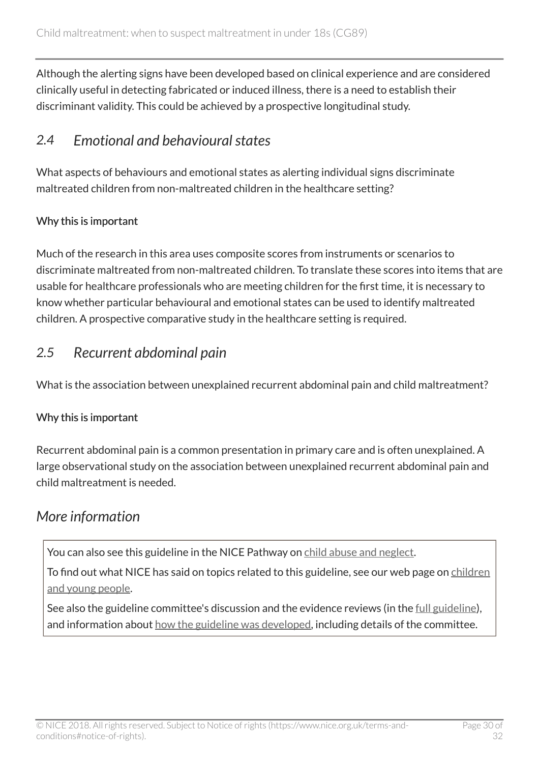Although the alerting signs have been developed based on clinical experience and are considered clinically useful in detecting fabricated or induced illness, there is a need to establish their discriminant validity. This could be achieved by a prospective longitudinal study.

# <span id="page-29-0"></span>*2.4 Emotional and behavioural states*

What aspects of behaviours and emotional states as alerting individual signs discriminate maltreated children from non-maltreated children in the healthcare setting?

#### Why this is important

Much of the research in this area uses composite scores from instruments or scenarios to discriminate maltreated from non-maltreated children. To translate these scores into items that are usable for healthcare professionals who are meeting children for the first time, it is necessary to know whether particular behavioural and emotional states can be used to identify maltreated children. A prospective comparative study in the healthcare setting is required.

## <span id="page-29-1"></span>*2.5 Recurrent abdominal pain*

What is the association between unexplained recurrent abdominal pain and child maltreatment?

### Why this is important

Recurrent abdominal pain is a common presentation in primary care and is often unexplained. A large observational study on the association between unexplained recurrent abdominal pain and child maltreatment is needed.

# <span id="page-29-2"></span>*More information*

You can also see this guideline in the NICE Pathway on [child abuse and neglect.](https://pathways.nice.org.uk/pathways/child-abuse-and-neglect)

To find out what NICE has said on topics related to this guideline, see our web page on [children](https://www.nice.org.uk/guidance/population-groups/children-and-young-people) [and young people.](https://www.nice.org.uk/guidance/population-groups/children-and-young-people)

See also the guideline committee's discussion and the evidence reviews (in the [full guideline\)](http://www.nice.org.uk/Guidance/CG89/evidence), and information about [how the guideline was developed](http://www.nice.org.uk/Guidance/CG89/documents), including details of the committee.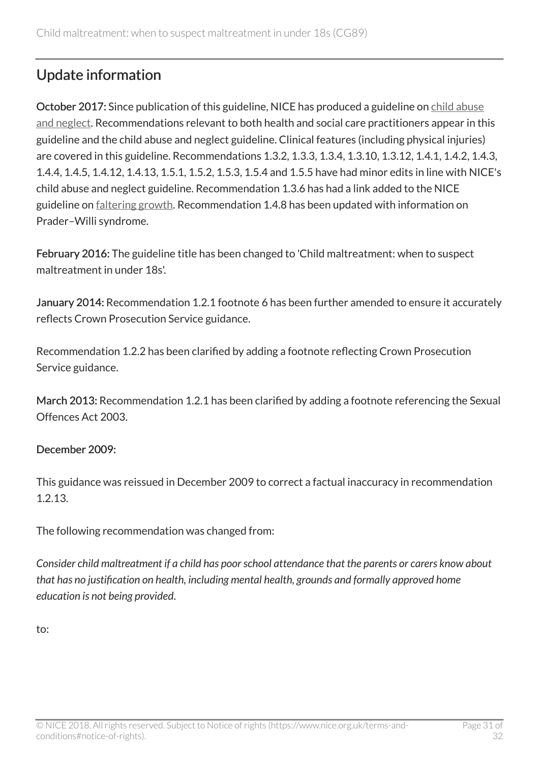# <span id="page-30-0"></span>Update information

October 2017: Since publication of this guideline, NICE has produced a guideline on [child abuse](http://www.nice.org.uk/guidance/ng76) [and neglect](http://www.nice.org.uk/guidance/ng76). Recommendations relevant to both health and social care practitioners appear in this guideline and the child abuse and neglect guideline. Clinical features (including physical injuries) are covered in this guideline. Recommendations 1.3.2, 1.3.3, 1.3.4, 1.3.10, 1.3.12, 1.4.1, 1.4.2, 1.4.3, 1.4.4, 1.4.5, 1.4.12, 1.4.13, 1.5.1, 1.5.2, 1.5.3, 1.5.4 and 1.5.5 have had minor edits in line with NICE's child abuse and neglect guideline. Recommendation 1.3.6 has had a link added to the NICE guideline on [faltering growth.](http://www.nice.org.uk/guidance/ng75) Recommendation 1.4.8 has been updated with information on Prader–Willi syndrome.

February 2016: The guideline title has been changed to 'Child maltreatment: when to suspect maltreatment in under 18s'.

January 2014: Recommendation 1.2.1 footnote 6 has been further amended to ensure it accurately reflects Crown Prosecution Service guidance.

Recommendation 1.2.2 has been clarified by adding a footnote reflecting Crown Prosecution Service guidance.

March 2013: Recommendation 1.2.1 has been clarified by adding a footnote referencing the Sexual Offences Act 2003.

#### December 2009:

This guidance was reissued in December 2009 to correct a factual inaccuracy in recommendation 1.2.13.

The following recommendation was changed from:

*Consider child maltreatment if a child has poor school attendance that the parents or carers know about that has no justification on health, including mental health, grounds and formally approved home education is not being provided*.

to: